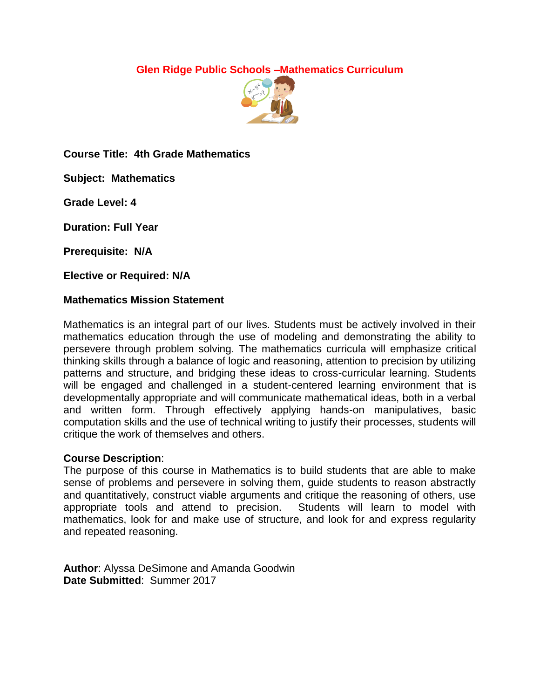## **Glen Ridge Public Schools –Mathematics Curriculum**



**Course Title: 4th Grade Mathematics**

**Subject: Mathematics**

**Grade Level: 4**

**Duration: Full Year**

**Prerequisite: N/A**

**Elective or Required: N/A**

#### **Mathematics Mission Statement**

Mathematics is an integral part of our lives. Students must be actively involved in their mathematics education through the use of modeling and demonstrating the ability to persevere through problem solving. The mathematics curricula will emphasize critical thinking skills through a balance of logic and reasoning, attention to precision by utilizing patterns and structure, and bridging these ideas to cross-curricular learning. Students will be engaged and challenged in a student-centered learning environment that is developmentally appropriate and will communicate mathematical ideas, both in a verbal and written form. Through effectively applying hands-on manipulatives, basic computation skills and the use of technical writing to justify their processes, students will critique the work of themselves and others.

#### **Course Description**:

The purpose of this course in Mathematics is to build students that are able to make sense of problems and persevere in solving them, guide students to reason abstractly and quantitatively, construct viable arguments and critique the reasoning of others, use appropriate tools and attend to precision. Students will learn to model with mathematics, look for and make use of structure, and look for and express regularity and repeated reasoning.

**Author**: Alyssa DeSimone and Amanda Goodwin **Date Submitted**: Summer 2017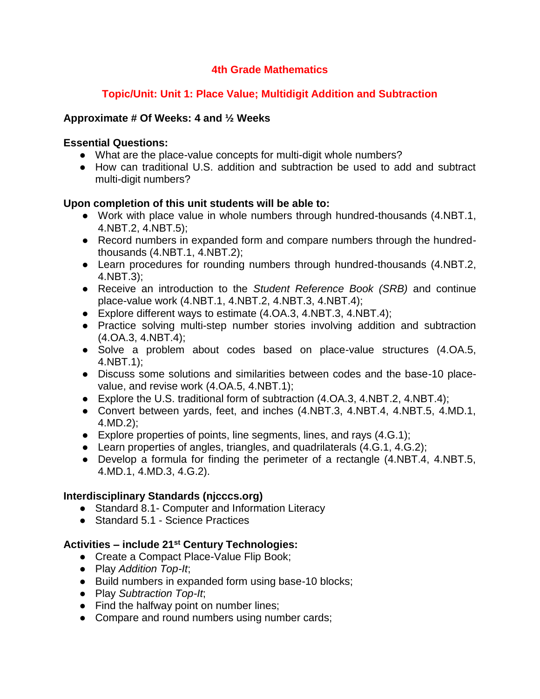## **4th Grade Mathematics**

# **Topic/Unit: Unit 1: Place Value; Multidigit Addition and Subtraction**

### **Approximate # Of Weeks: 4 and ½ Weeks**

### **Essential Questions:**

- What are the place-value concepts for multi-digit whole numbers?
- How can traditional U.S. addition and subtraction be used to add and subtract multi-digit numbers?

### **Upon completion of this unit students will be able to:**

- Work with place value in whole numbers through hundred-thousands (4.NBT.1, 4.NBT.2, 4.NBT.5);
- Record numbers in expanded form and compare numbers through the hundredthousands (4.NBT.1, 4.NBT.2);
- Learn procedures for rounding numbers through hundred-thousands (4.NBT.2, 4.NBT.3);
- Receive an introduction to the *Student Reference Book (SRB)* and continue place-value work (4.NBT.1, 4.NBT.2, 4.NBT.3, 4.NBT.4);
- Explore different ways to estimate (4.OA.3, 4.NBT.3, 4.NBT.4);
- Practice solving multi-step number stories involving addition and subtraction (4.OA.3, 4.NBT.4);
- Solve a problem about codes based on place-value structures (4.OA.5, 4.NBT.1);
- Discuss some solutions and similarities between codes and the base-10 placevalue, and revise work (4.OA.5, 4.NBT.1);
- Explore the U.S. traditional form of subtraction (4.OA.3, 4.NBT.2, 4.NBT.4);
- Convert between yards, feet, and inches (4.NBT.3, 4.NBT.4, 4.NBT.5, 4.MD.1, 4.MD.2);
- $\bullet$  Explore properties of points, line segments, lines, and rays (4.G.1);
- Learn properties of angles, triangles, and quadrilaterals (4.G.1, 4.G.2);
- Develop a formula for finding the perimeter of a rectangle (4.NBT.4, 4.NBT.5, 4.MD.1, 4.MD.3, 4.G.2).

## **Interdisciplinary Standards (njcccs.org)**

- Standard 8.1 Computer and Information Literacy
- Standard 5.1 Science Practices

- Create a Compact Place-Value Flip Book;
- Play *Addition Top-It*;
- Build numbers in expanded form using base-10 blocks;
- Play *Subtraction Top-It*;
- Find the halfway point on number lines;
- Compare and round numbers using number cards;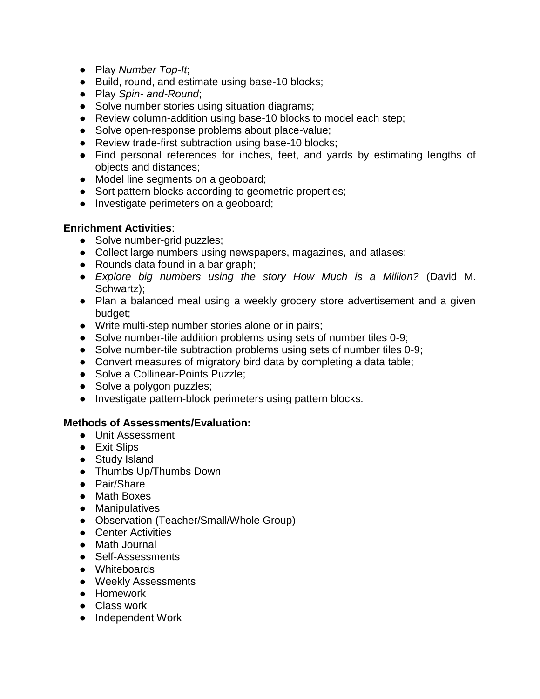- Play *Number Top-It*;
- Build, round, and estimate using base-10 blocks;
- Play *Spin- and-Round*;
- Solve number stories using situation diagrams;
- Review column-addition using base-10 blocks to model each step;
- Solve open-response problems about place-value;
- Review trade-first subtraction using base-10 blocks;
- Find personal references for inches, feet, and yards by estimating lengths of objects and distances;
- Model line segments on a geoboard;
- Sort pattern blocks according to geometric properties;
- Investigate perimeters on a geoboard;

- Solve number-grid puzzles;
- Collect large numbers using newspapers, magazines, and atlases;
- Rounds data found in a bar graph;
- *Explore big numbers using the story How Much is a Million?* (David M. Schwartz):
- Plan a balanced meal using a weekly grocery store advertisement and a given budget;
- Write multi-step number stories alone or in pairs;
- Solve number-tile addition problems using sets of number tiles 0-9;
- Solve number-tile subtraction problems using sets of number tiles 0-9;
- Convert measures of migratory bird data by completing a data table;
- Solve a Collinear-Points Puzzle;
- Solve a polygon puzzles;
- Investigate pattern-block perimeters using pattern blocks.

- Unit Assessment
- Exit Slips
- Study Island
- Thumbs Up/Thumbs Down
- Pair/Share
- Math Boxes
- Manipulatives
- Observation (Teacher/Small/Whole Group)
- Center Activities
- Math Journal
- Self-Assessments
- Whiteboards
- Weekly Assessments
- Homework
- Class work
- Independent Work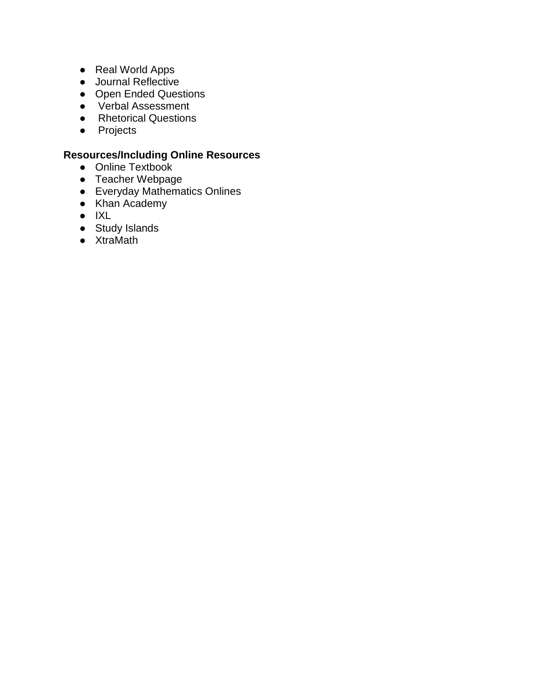- Real World Apps
- Journal Reflective
- Open Ended Questions
- Verbal Assessment
- Rhetorical Questions
- Projects

- Online Textbook
- Teacher Webpage
- Everyday Mathematics Onlines
- Khan Academy
- IXL
- Study Islands
- XtraMath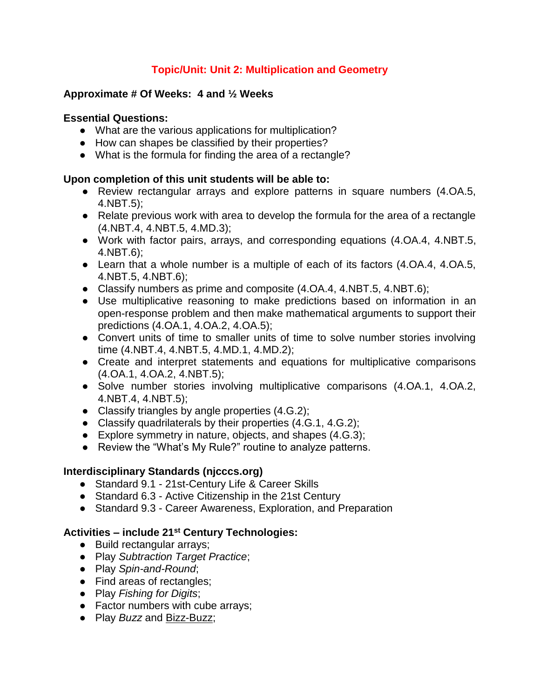# **Topic/Unit: Unit 2: Multiplication and Geometry**

### **Approximate # Of Weeks: 4 and ½ Weeks**

#### **Essential Questions:**

- What are the various applications for multiplication?
- How can shapes be classified by their properties?
- What is the formula for finding the area of a rectangle?

### **Upon completion of this unit students will be able to:**

- Review rectangular arrays and explore patterns in square numbers (4.0A.5, 4.NBT.5);
- Relate previous work with area to develop the formula for the area of a rectangle (4.NBT.4, 4.NBT.5, 4.MD.3);
- Work with factor pairs, arrays, and corresponding equations (4.OA.4, 4.NBT.5, 4.NBT.6);
- Learn that a whole number is a multiple of each of its factors (4.0A.4, 4.0A.5, 4.NBT.5, 4.NBT.6);
- Classify numbers as prime and composite (4.OA.4, 4.NBT.5, 4.NBT.6);
- Use multiplicative reasoning to make predictions based on information in an open-response problem and then make mathematical arguments to support their predictions (4.OA.1, 4.OA.2, 4.OA.5);
- Convert units of time to smaller units of time to solve number stories involving time (4.NBT.4, 4.NBT.5, 4.MD.1, 4.MD.2);
- Create and interpret statements and equations for multiplicative comparisons (4.OA.1, 4.OA.2, 4.NBT.5);
- Solve number stories involving multiplicative comparisons (4.OA.1, 4.OA.2, 4.NBT.4, 4.NBT.5);
- Classify triangles by angle properties (4.G.2);
- Classify quadrilaterals by their properties (4.G.1, 4.G.2);
- Explore symmetry in nature, objects, and shapes (4.G.3);
- Review the "What's My Rule?" routine to analyze patterns.

## **Interdisciplinary Standards (njcccs.org)**

- Standard 9.1 21st-Century Life & Career Skills
- Standard 6.3 Active Citizenship in the 21st Century
- Standard 9.3 Career Awareness, Exploration, and Preparation

- Build rectangular arrays;
- Play *Subtraction Target Practice*;
- Play *Spin-and-Round*;
- Find areas of rectangles;
- Play *Fishing for Digits*;
- Factor numbers with cube arrays;
- Play *Buzz* and Bizz-Buzz;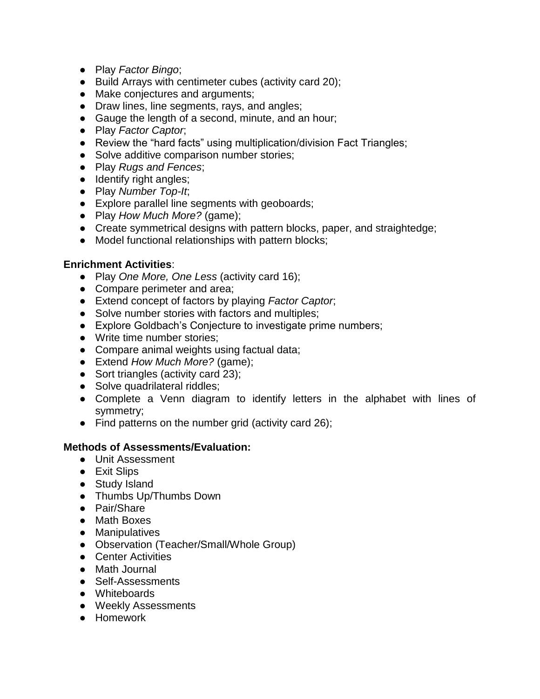- Play *Factor Bingo*;
- Build Arrays with centimeter cubes (activity card 20);
- Make conjectures and arguments;
- Draw lines, line segments, rays, and angles;
- Gauge the length of a second, minute, and an hour;
- Play *Factor Captor*;
- Review the "hard facts" using multiplication/division Fact Triangles;
- Solve additive comparison number stories;
- Play *Rugs and Fences*;
- Identify right angles;
- Play *Number Top-It*;
- Explore parallel line segments with geoboards;
- Play *How Much More?* (game);
- Create symmetrical designs with pattern blocks, paper, and straightedge;
- Model functional relationships with pattern blocks;

- Play *One More, One Less* (activity card 16);
- Compare perimeter and area;
- Extend concept of factors by playing *Factor Captor*;
- Solve number stories with factors and multiples;
- Explore Goldbach's Conjecture to investigate prime numbers;
- Write time number stories;
- Compare animal weights using factual data;
- Extend *How Much More?* (game);
- Sort triangles (activity card 23);
- Solve quadrilateral riddles;
- Complete a Venn diagram to identify letters in the alphabet with lines of symmetry;
- Find patterns on the number grid (activity card 26);

- Unit Assessment
- Exit Slips
- Study Island
- Thumbs Up/Thumbs Down
- Pair/Share
- Math Boxes
- Manipulatives
- Observation (Teacher/Small/Whole Group)
- Center Activities
- Math Journal
- Self-Assessments
- Whiteboards
- Weekly Assessments
- Homework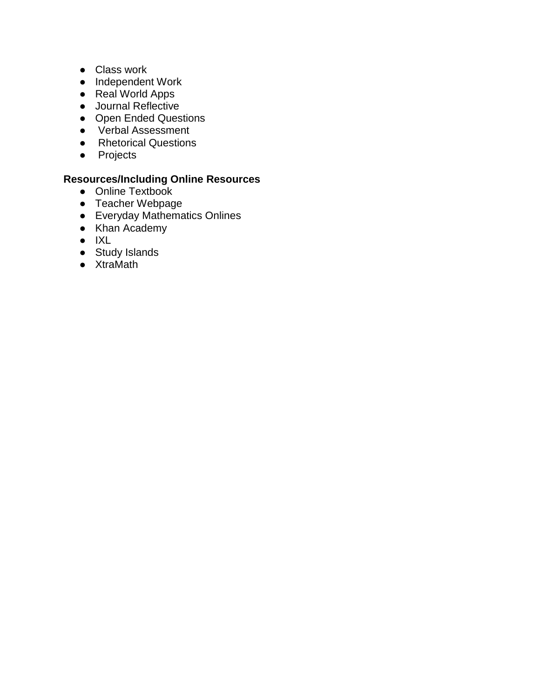- Class work
- Independent Work
- Real World Apps
- Journal Reflective
- Open Ended Questions
- Verbal Assessment
- Rhetorical Questions
- Projects

- Online Textbook
- Teacher Webpage
- Everyday Mathematics Onlines
- Khan Academy
- IXL
- Study Islands
- XtraMath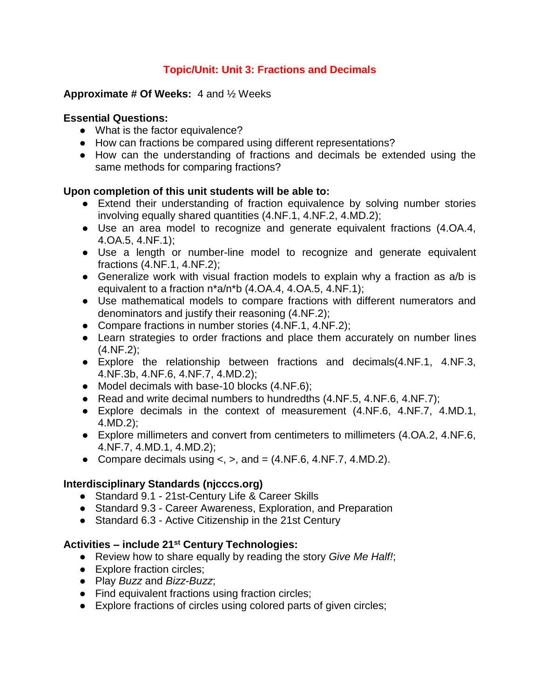# **Topic/Unit: Unit 3: Fractions and Decimals**

#### **Approximate # Of Weeks:** 4 and ½ Weeks

### **Essential Questions:**

- What is the factor equivalence?
- How can fractions be compared using different representations?
- How can the understanding of fractions and decimals be extended using the same methods for comparing fractions?

## **Upon completion of this unit students will be able to:**

- Extend their understanding of fraction equivalence by solving number stories involving equally shared quantities (4.NF.1, 4.NF.2, 4.MD.2);
- Use an area model to recognize and generate equivalent fractions (4.OA.4, 4.OA.5, 4.NF.1);
- Use a length or number-line model to recognize and generate equivalent fractions (4.NF.1, 4.NF.2);
- Generalize work with visual fraction models to explain why a fraction as a/b is equivalent to a fraction n\*a/n\*b (4.OA.4, 4.OA.5, 4.NF.1);
- Use mathematical models to compare fractions with different numerators and denominators and justify their reasoning (4.NF.2);
- Compare fractions in number stories (4.NF.1, 4.NF.2);
- Learn strategies to order fractions and place them accurately on number lines (4.NF.2);
- Explore the relationship between fractions and decimals(4.NF.1, 4.NF.3, 4.NF.3b, 4.NF.6, 4.NF.7, 4.MD.2);
- Model decimals with base-10 blocks (4.NF.6);
- Read and write decimal numbers to hundredths (4.NF.5, 4.NF.6, 4.NF.7);
- Explore decimals in the context of measurement (4.NF.6, 4.NF.7, 4.MD.1, 4.MD.2);
- Explore millimeters and convert from centimeters to millimeters (4.OA.2, 4.NF.6, 4.NF.7, 4.MD.1, 4.MD.2);
- Compare decimals using  $\lt$ ,  $\gt$ , and  $\lt$  (4.NF.6, 4.NF.7, 4.MD.2).

## **Interdisciplinary Standards (njcccs.org)**

- Standard 9.1 21st-Century Life & Career Skills
- Standard 9.3 Career Awareness, Exploration, and Preparation
- Standard 6.3 Active Citizenship in the 21st Century

- Review how to share equally by reading the story *Give Me Half!*;
- Explore fraction circles;
- Play *Buzz* and *Bizz-Buzz*;
- Find equivalent fractions using fraction circles:
- Explore fractions of circles using colored parts of given circles;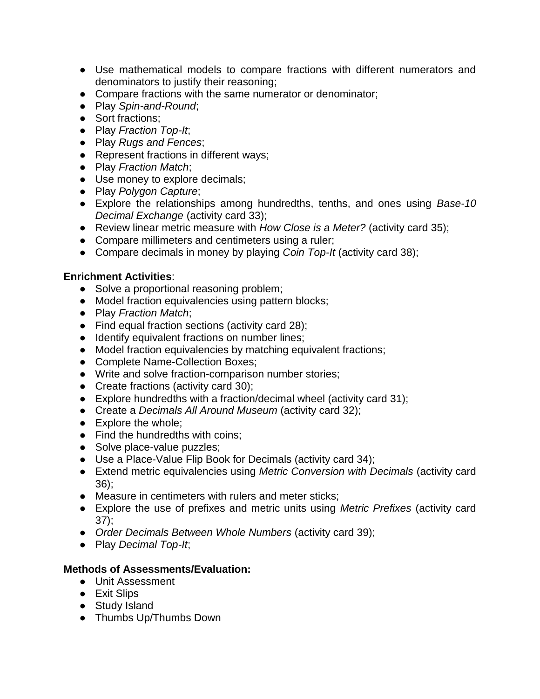- Use mathematical models to compare fractions with different numerators and denominators to justify their reasoning;
- Compare fractions with the same numerator or denominator;
- Play *Spin-and-Round*;
- Sort fractions:
- Play *Fraction Top-It*;
- Play *Rugs and Fences*;
- Represent fractions in different ways;
- Play *Fraction Match*;
- Use money to explore decimals;
- Play *Polygon Capture*;
- Explore the relationships among hundredths, tenths, and ones using *Base-10 Decimal Exchange* (activity card 33);
- Review linear metric measure with *How Close is a Meter?* (activity card 35);
- Compare millimeters and centimeters using a ruler;
- Compare decimals in money by playing *Coin Top-It* (activity card 38);

- Solve a proportional reasoning problem;
- Model fraction equivalencies using pattern blocks;
- Play *Fraction Match*;
- Find equal fraction sections (activity card 28);
- Identify equivalent fractions on number lines;
- Model fraction equivalencies by matching equivalent fractions;
- Complete Name-Collection Boxes;
- Write and solve fraction-comparison number stories;
- Create fractions (activity card 30);
- Explore hundredths with a fraction/decimal wheel (activity card 31);
- Create a *Decimals All Around Museum* (activity card 32);
- Explore the whole;
- Find the hundredths with coins:
- Solve place-value puzzles;
- Use a Place-Value Flip Book for Decimals (activity card 34);
- Extend metric equivalencies using *Metric Conversion with Decimals* (activity card 36);
- Measure in centimeters with rulers and meter sticks;
- Explore the use of prefixes and metric units using *Metric Prefixes* (activity card 37);
- *Order Decimals Between Whole Numbers* (activity card 39);
- Play *Decimal Top-It*;

- Unit Assessment
- Exit Slips
- Study Island
- Thumbs Up/Thumbs Down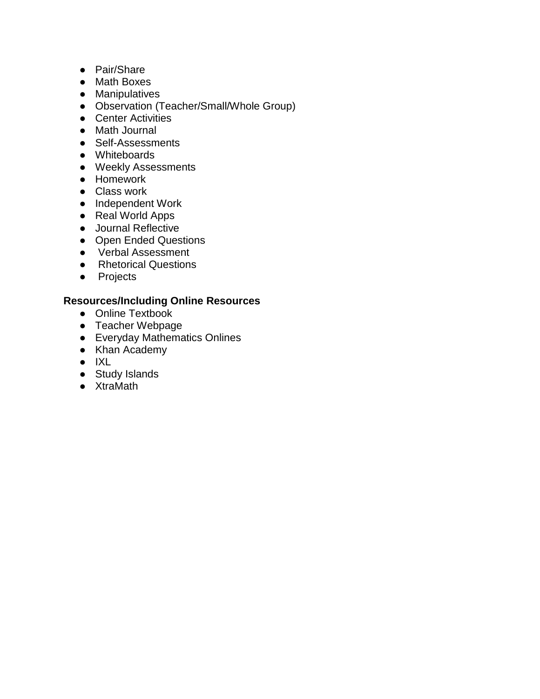- Pair/Share
- Math Boxes
- Manipulatives
- Observation (Teacher/Small/Whole Group)
- Center Activities
- Math Journal
- Self-Assessments
- Whiteboards
- Weekly Assessments
- Homework
- Class work
- Independent Work
- Real World Apps
- Journal Reflective
- Open Ended Questions
- Verbal Assessment
- Rhetorical Questions
- Projects

- Online Textbook
- Teacher Webpage
- Everyday Mathematics Onlines
- Khan Academy
- IXL
- Study Islands
- XtraMath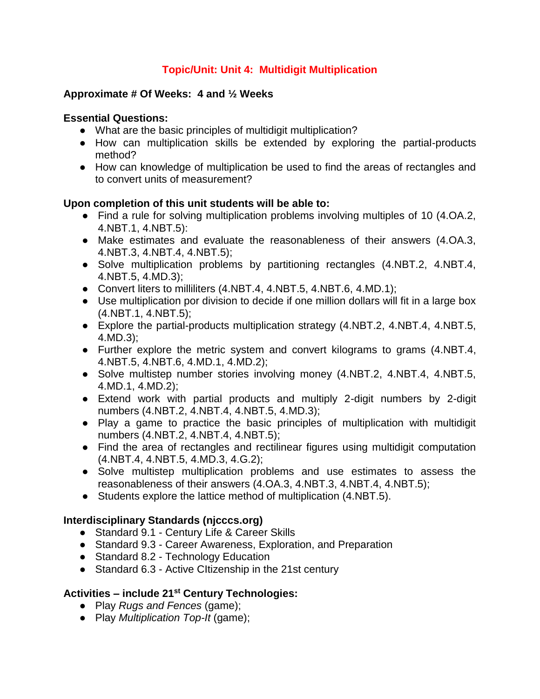# **Topic/Unit: Unit 4: Multidigit Multiplication**

### **Approximate # Of Weeks: 4 and ½ Weeks**

### **Essential Questions:**

- What are the basic principles of multidigit multiplication?
- How can multiplication skills be extended by exploring the partial-products method?
- How can knowledge of multiplication be used to find the areas of rectangles and to convert units of measurement?

### **Upon completion of this unit students will be able to:**

- Find a rule for solving multiplication problems involving multiples of 10 (4.OA.2, 4.NBT.1, 4.NBT.5):
- Make estimates and evaluate the reasonableness of their answers (4.OA.3, 4.NBT.3, 4.NBT.4, 4.NBT.5);
- Solve multiplication problems by partitioning rectangles (4.NBT.2, 4.NBT.4, 4.NBT.5, 4.MD.3);
- Convert liters to milliliters (4.NBT.4, 4.NBT.5, 4.NBT.6, 4.MD.1);
- Use multiplication por division to decide if one million dollars will fit in a large box (4.NBT.1, 4.NBT.5);
- Explore the partial-products multiplication strategy (4.NBT.2, 4.NBT.4, 4.NBT.5, 4.MD.3);
- Further explore the metric system and convert kilograms to grams (4.NBT.4, 4.NBT.5, 4.NBT.6, 4.MD.1, 4.MD.2);
- Solve multistep number stories involving money (4.NBT.2, 4.NBT.4, 4.NBT.5, 4.MD.1, 4.MD.2);
- Extend work with partial products and multiply 2-digit numbers by 2-digit numbers (4.NBT.2, 4.NBT.4, 4.NBT.5, 4.MD.3);
- Play a game to practice the basic principles of multiplication with multidigit numbers (4.NBT.2, 4.NBT.4, 4.NBT.5);
- Find the area of rectangles and rectilinear figures using multidigit computation (4.NBT.4, 4.NBT.5, 4.MD.3, 4.G.2);
- Solve multistep multiplication problems and use estimates to assess the reasonableness of their answers (4.OA.3, 4.NBT.3, 4.NBT.4, 4.NBT.5);
- Students explore the lattice method of multiplication (4.NBT.5).

## **Interdisciplinary Standards (njcccs.org)**

- Standard 9.1 Century Life & Career Skills
- Standard 9.3 Career Awareness, Exploration, and Preparation
- Standard 8.2 Technology Education
- Standard 6.3 Active CItizenship in the 21st century

- Play *Rugs and Fences* (game);
- Play *Multiplication Top-It* (game);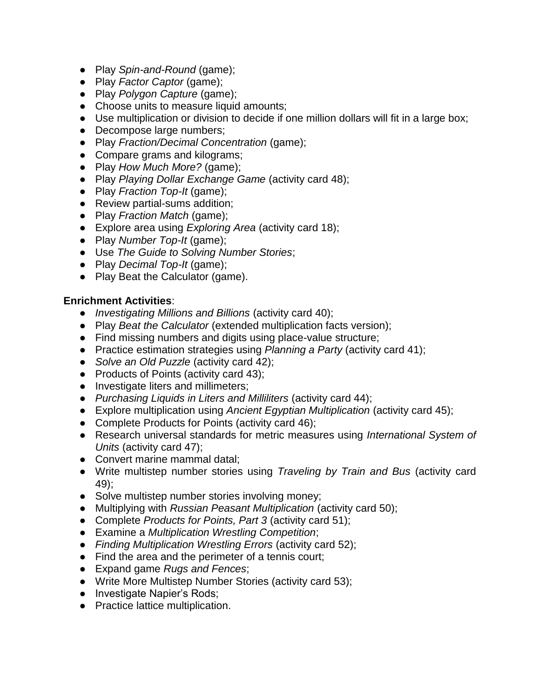- Play *Spin-and-Round* (game);
- Play *Factor Captor* (game);
- Play *Polygon Capture* (game);
- Choose units to measure liquid amounts;
- Use multiplication or division to decide if one million dollars will fit in a large box;
- Decompose large numbers;
- Play *Fraction/Decimal Concentration* (game);
- Compare grams and kilograms;
- Play *How Much More?* (game);
- Play *Playing Dollar Exchange Game* (activity card 48);
- Play *Fraction Top-It* (game);
- Review partial-sums addition;
- Play *Fraction Match* (game);
- Explore area using *Exploring Area* (activity card 18);
- Play *Number Top-It* (game);
- Use *The Guide to Solving Number Stories*;
- Play *Decimal Top-It* (game);
- Play Beat the Calculator (game).

- *Investigating Millions and Billions* (activity card 40);
- Play *Beat the Calculator* (extended multiplication facts version);
- Find missing numbers and digits using place-value structure;
- Practice estimation strategies using *Planning a Party* (activity card 41);
- *Solve an Old Puzzle* (activity card 42);
- Products of Points (activity card 43);
- Investigate liters and millimeters;
- *Purchasing Liquids in Liters and Milliliters* (activity card 44);
- Explore multiplication using *Ancient Egyptian Multiplication* (activity card 45);
- Complete Products for Points (activity card 46);
- Research universal standards for metric measures using *International System of Units* (activity card 47);
- Convert marine mammal datal;
- Write multistep number stories using *Traveling by Train and Bus* (activity card 49);
- Solve multistep number stories involving money;
- Multiplying with *Russian Peasant Multiplication* (activity card 50);
- Complete *Products for Points, Part 3* (activity card 51);
- Examine a *Multiplication Wrestling Competition*;
- *Finding Multiplication Wrestling Errors* (activity card 52);
- Find the area and the perimeter of a tennis court;
- Expand game *Rugs and Fences*;
- Write More Multistep Number Stories (activity card 53);
- Investigate Napier's Rods;
- Practice lattice multiplication.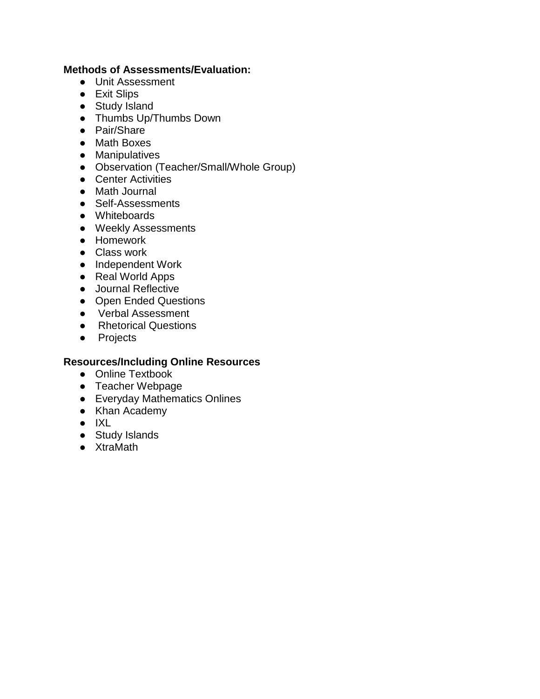### **Methods of Assessments/Evaluation:**

- Unit Assessment
- Exit Slips
- Study Island
- Thumbs Up/Thumbs Down
- Pair/Share
- Math Boxes
- Manipulatives
- Observation (Teacher/Small/Whole Group)
- Center Activities
- Math Journal
- Self-Assessments
- Whiteboards
- Weekly Assessments
- Homework
- Class work
- Independent Work
- Real World Apps
- Journal Reflective
- Open Ended Questions
- Verbal Assessment
- Rhetorical Questions
- Projects

- Online Textbook
- Teacher Webpage
- Everyday Mathematics Onlines
- Khan Academy
- IXL
- Study Islands
- XtraMath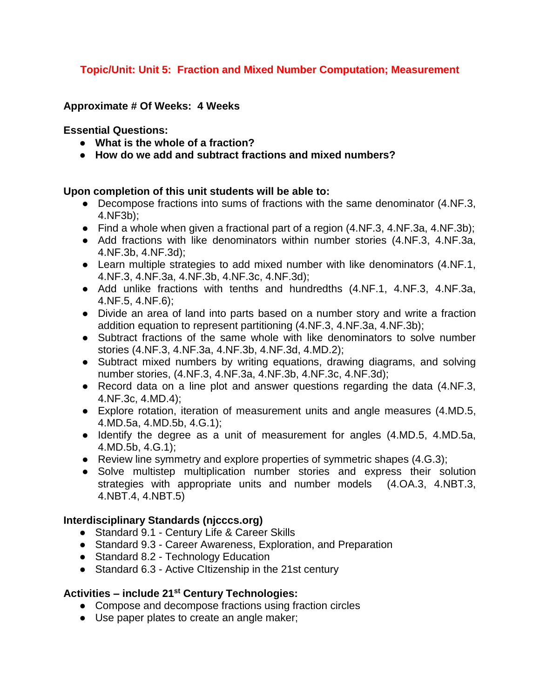# **Topic/Unit: Unit 5: Fraction and Mixed Number Computation; Measurement**

#### **Approximate # Of Weeks: 4 Weeks**

#### **Essential Questions:**

- **What is the whole of a fraction?**
- **How do we add and subtract fractions and mixed numbers?**

#### **Upon completion of this unit students will be able to:**

- Decompose fractions into sums of fractions with the same denominator (4.NF.3, 4.NF3b);
- Find a whole when given a fractional part of a region (4.NF.3, 4.NF.3a, 4.NF.3b);
- Add fractions with like denominators within number stories (4.NF.3, 4.NF.3a, 4.NF.3b, 4.NF.3d);
- Learn multiple strategies to add mixed number with like denominators (4.NF.1, 4.NF.3, 4.NF.3a, 4.NF.3b, 4.NF.3c, 4.NF.3d);
- Add unlike fractions with tenths and hundredths (4.NF.1, 4.NF.3, 4.NF.3a, 4.NF.5, 4.NF.6);
- Divide an area of land into parts based on a number story and write a fraction addition equation to represent partitioning (4.NF.3, 4.NF.3a, 4.NF.3b);
- Subtract fractions of the same whole with like denominators to solve number stories (4.NF.3, 4.NF.3a, 4.NF.3b, 4.NF.3d, 4.MD.2);
- Subtract mixed numbers by writing equations, drawing diagrams, and solving number stories, (4.NF.3, 4.NF.3a, 4.NF.3b, 4.NF.3c, 4.NF.3d);
- Record data on a line plot and answer questions regarding the data (4.NF.3, 4.NF.3c, 4.MD.4);
- Explore rotation, iteration of measurement units and angle measures (4.MD.5, 4.MD.5a, 4.MD.5b, 4.G.1);
- Identify the degree as a unit of measurement for angles (4.MD.5, 4.MD.5a, 4.MD.5b, 4.G.1);
- Review line symmetry and explore properties of symmetric shapes (4.G.3);
- Solve multistep multiplication number stories and express their solution strategies with appropriate units and number models (4.OA.3, 4.NBT.3, 4.NBT.4, 4.NBT.5)

#### **Interdisciplinary Standards (njcccs.org)**

- Standard 9.1 Century Life & Career Skills
- Standard 9.3 Career Awareness, Exploration, and Preparation
- Standard 8.2 Technology Education
- Standard 6.3 Active CItizenship in the 21st century

- Compose and decompose fractions using fraction circles
- Use paper plates to create an angle maker;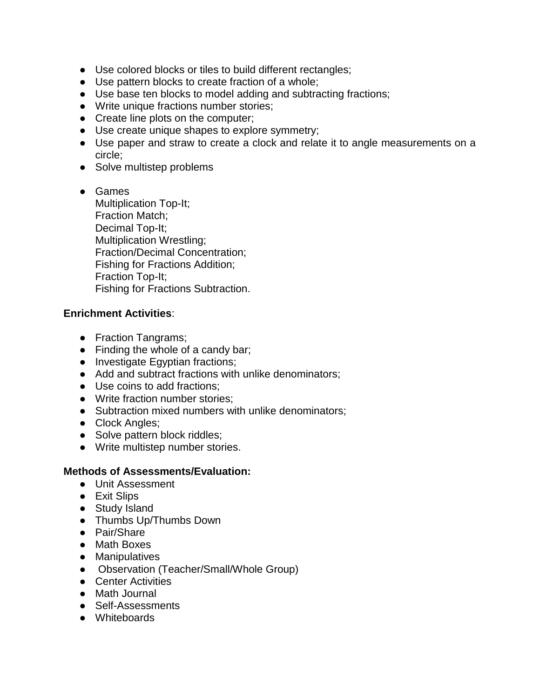- Use colored blocks or tiles to build different rectangles;
- Use pattern blocks to create fraction of a whole;
- Use base ten blocks to model adding and subtracting fractions;
- Write unique fractions number stories;
- Create line plots on the computer;
- Use create unique shapes to explore symmetry;
- Use paper and straw to create a clock and relate it to angle measurements on a circle;
- Solve multistep problems
- Games Multiplication Top-It; Fraction Match; Decimal Top-It; Multiplication Wrestling; Fraction/Decimal Concentration; Fishing for Fractions Addition; Fraction Top-It; Fishing for Fractions Subtraction.

- Fraction Tangrams;
- Finding the whole of a candy bar;
- Investigate Egyptian fractions;
- Add and subtract fractions with unlike denominators;
- Use coins to add fractions;
- Write fraction number stories;
- Subtraction mixed numbers with unlike denominators;
- Clock Angles;
- Solve pattern block riddles;
- Write multistep number stories.

- Unit Assessment
- Exit Slips
- Study Island
- Thumbs Up/Thumbs Down
- Pair/Share
- Math Boxes
- Manipulatives
- Observation (Teacher/Small/Whole Group)
- Center Activities
- Math Journal
- Self-Assessments
- Whiteboards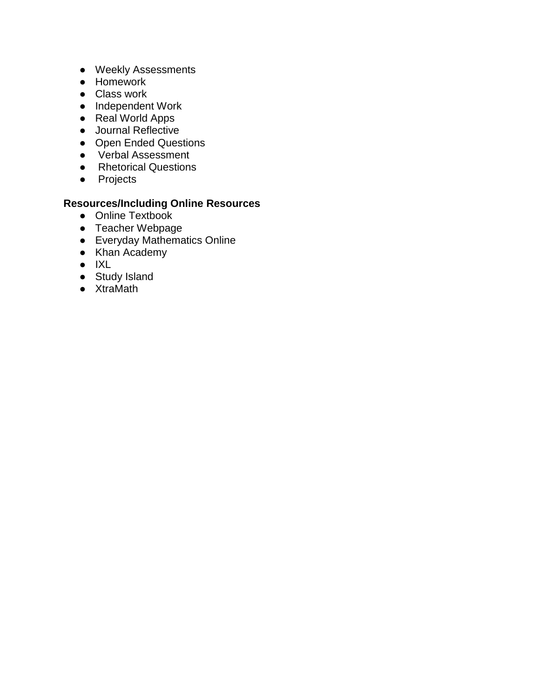- Weekly Assessments
- Homework
- Class work
- Independent Work
- Real World Apps
- Journal Reflective
- Open Ended Questions
- Verbal Assessment
- Rhetorical Questions
- Projects

- Online Textbook
- Teacher Webpage
- Everyday Mathematics Online
- Khan Academy
- IXL
- Study Island
- XtraMath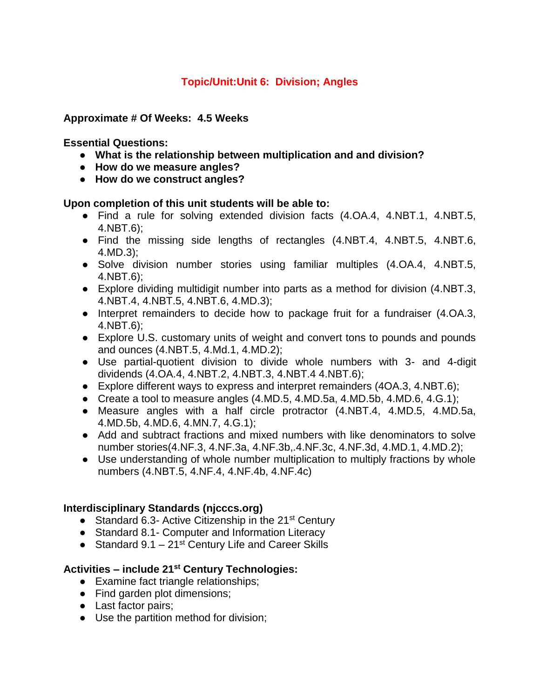# **Topic/Unit:Unit 6: Division; Angles**

## **Approximate # Of Weeks: 4.5 Weeks**

## **Essential Questions:**

- **What is the relationship between multiplication and and division?**
- **How do we measure angles?**
- **How do we construct angles?**

## **Upon completion of this unit students will be able to:**

- Find a rule for solving extended division facts (4.OA.4, 4.NBT.1, 4.NBT.5, 4.NBT.6);
- Find the missing side lengths of rectangles (4.NBT.4, 4.NBT.5, 4.NBT.6, 4.MD.3);
- Solve division number stories using familiar multiples (4.OA.4, 4.NBT.5, 4.NBT.6);
- Explore dividing multidigit number into parts as a method for division (4.NBT.3, 4.NBT.4, 4.NBT.5, 4.NBT.6, 4.MD.3);
- Interpret remainders to decide how to package fruit for a fundraiser (4.OA.3, 4.NBT.6);
- Explore U.S. customary units of weight and convert tons to pounds and pounds and ounces (4.NBT.5, 4.Md.1, 4.MD.2);
- Use partial-quotient division to divide whole numbers with 3- and 4-digit dividends (4.OA.4, 4.NBT.2, 4.NBT.3, 4.NBT.4 4.NBT.6);
- Explore different ways to express and interpret remainders (4OA.3, 4.NBT.6);
- Create a tool to measure angles (4.MD.5, 4.MD.5a, 4.MD.5b, 4.MD.6, 4.G.1);
- Measure angles with a half circle protractor (4.NBT.4, 4.MD.5, 4.MD.5a, 4.MD.5b, 4.MD.6, 4.MN.7, 4.G.1);
- Add and subtract fractions and mixed numbers with like denominators to solve number stories(4.NF.3, 4.NF.3a, 4.NF.3b,.4.NF.3c, 4.NF.3d, 4.MD.1, 4.MD.2);
- Use understanding of whole number multiplication to multiply fractions by whole numbers (4.NBT.5, 4.NF.4, 4.NF.4b, 4.NF.4c)

## **Interdisciplinary Standards (njcccs.org)**

- Standard 6.3- Active Citizenship in the 21<sup>st</sup> Century
- Standard 8.1 Computer and Information Literacy
- Standard  $9.1 21$ <sup>st</sup> Century Life and Career Skills

- Examine fact triangle relationships;
- Find garden plot dimensions;
- Last factor pairs;
- Use the partition method for division;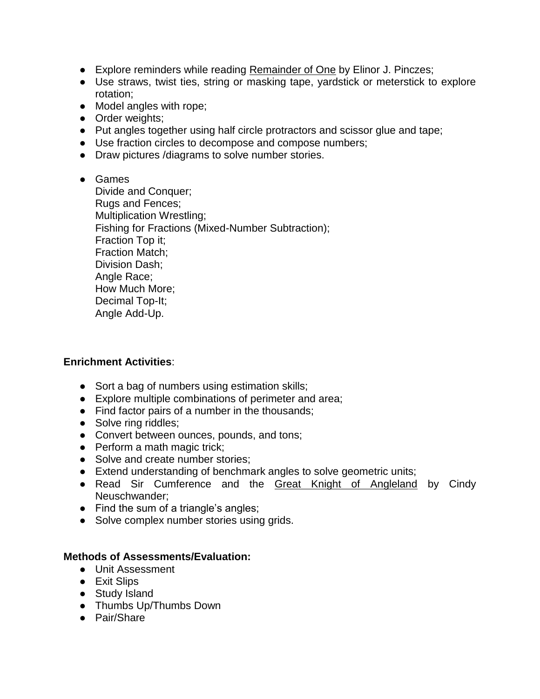- Explore reminders while reading Remainder of One by Elinor J. Pinczes;
- Use straws, twist ties, string or masking tape, yardstick or meterstick to explore rotation;
- Model angles with rope;
- Order weights;
- Put angles together using half circle protractors and scissor glue and tape;
- Use fraction circles to decompose and compose numbers;
- Draw pictures /diagrams to solve number stories.

#### ● Games

Divide and Conquer; Rugs and Fences; Multiplication Wrestling; Fishing for Fractions (Mixed-Number Subtraction); Fraction Top it; Fraction Match; Division Dash; Angle Race; How Much More; Decimal Top-It; Angle Add-Up.

#### **Enrichment Activities**:

- Sort a bag of numbers using estimation skills;
- Explore multiple combinations of perimeter and area;
- Find factor pairs of a number in the thousands;
- Solve ring riddles;
- Convert between ounces, pounds, and tons;
- Perform a math magic trick;
- Solve and create number stories;
- Extend understanding of benchmark angles to solve geometric units;
- Read Sir Cumference and the Great Knight of Angleland by Cindy Neuschwander;
- Find the sum of a triangle's angles;
- Solve complex number stories using grids.

- Unit Assessment
- Exit Slips
- Study Island
- Thumbs Up/Thumbs Down
- Pair/Share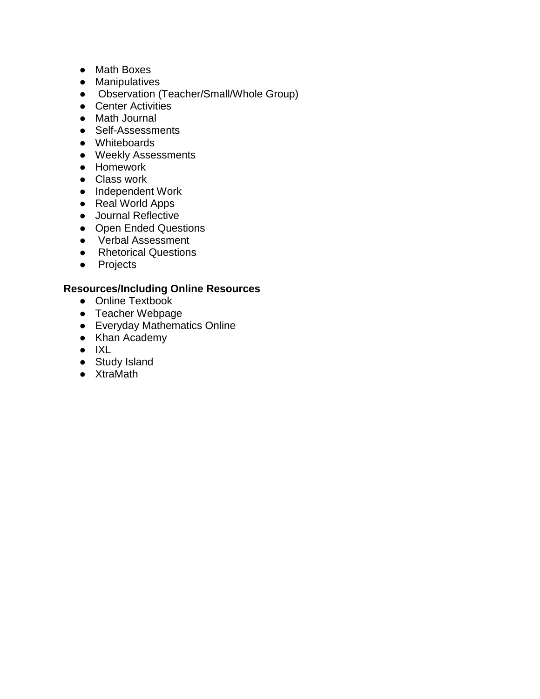- Math Boxes
- Manipulatives
- Observation (Teacher/Small/Whole Group)
- Center Activities
- Math Journal
- Self-Assessments
- Whiteboards
- Weekly Assessments
- Homework
- Class work
- Independent Work
- Real World Apps
- Journal Reflective
- Open Ended Questions
- Verbal Assessment
- Rhetorical Questions
- Projects

- Online Textbook
- Teacher Webpage
- Everyday Mathematics Online
- Khan Academy
- IXL
- Study Island
- XtraMath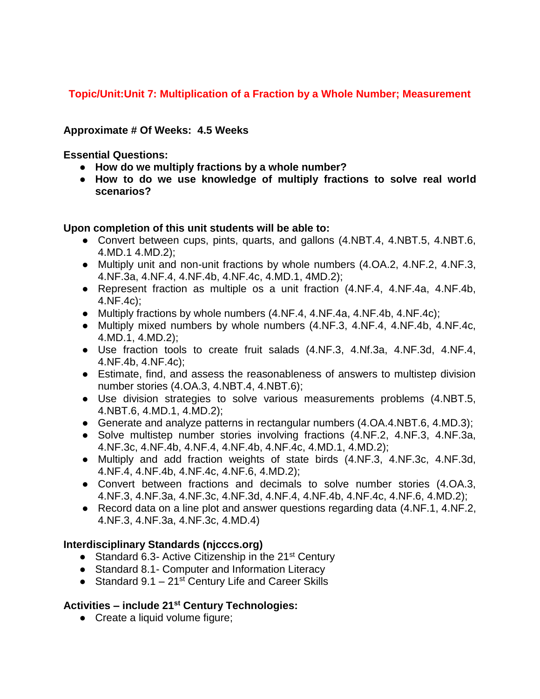# **Topic/Unit:Unit 7: Multiplication of a Fraction by a Whole Number; Measurement**

### **Approximate # Of Weeks: 4.5 Weeks**

**Essential Questions:** 

- **How do we multiply fractions by a whole number?**
- **How to do we use knowledge of multiply fractions to solve real world scenarios?**

#### **Upon completion of this unit students will be able to:**

- Convert between cups, pints, quarts, and gallons (4.NBT.4, 4.NBT.5, 4.NBT.6, 4.MD.1 4.MD.2);
- Multiply unit and non-unit fractions by whole numbers (4.OA.2, 4.NF.2, 4.NF.3, 4.NF.3a, 4.NF.4, 4.NF.4b, 4.NF.4c, 4.MD.1, 4MD.2);
- Represent fraction as multiple os a unit fraction (4.NF.4, 4.NF.4a, 4.NF.4b, 4.NF.4c);
- Multiply fractions by whole numbers (4.NF.4, 4.NF.4a, 4.NF.4b, 4.NF.4c);
- Multiply mixed numbers by whole numbers (4.NF.3, 4.NF.4, 4.NF.4b, 4.NF.4c, 4.MD.1, 4.MD.2);
- Use fraction tools to create fruit salads (4.NF.3, 4.Nf.3a, 4.NF.3d, 4.NF.4, 4.NF.4b, 4.NF.4c);
- Estimate, find, and assess the reasonableness of answers to multistep division number stories (4.OA.3, 4.NBT.4, 4.NBT.6);
- Use division strategies to solve various measurements problems (4.NBT.5, 4.NBT.6, 4.MD.1, 4.MD.2);
- Generate and analyze patterns in rectangular numbers (4.OA.4.NBT.6, 4.MD.3);
- Solve multistep number stories involving fractions (4.NF.2, 4.NF.3, 4.NF.3a, 4.NF.3c, 4.NF.4b, 4.NF.4, 4.NF.4b, 4.NF.4c, 4.MD.1, 4.MD.2);
- Multiply and add fraction weights of state birds (4.NF.3, 4.NF.3c, 4.NF.3d, 4.NF.4, 4.NF.4b, 4.NF.4c, 4.NF.6, 4.MD.2);
- Convert between fractions and decimals to solve number stories (4.OA.3, 4.NF.3, 4.NF.3a, 4.NF.3c, 4.NF.3d, 4.NF.4, 4.NF.4b, 4.NF.4c, 4.NF.6, 4.MD.2);
- Record data on a line plot and answer questions regarding data (4.NF.1, 4.NF.2, 4.NF.3, 4.NF.3a, 4.NF.3c, 4.MD.4)

## **Interdisciplinary Standards (njcccs.org)**

- Standard 6.3- Active Citizenship in the  $21^{st}$  Century
- Standard 8.1 Computer and Information Literacy
- Standard  $9.1 21$ <sup>st</sup> Century Life and Career Skills

## **Activities – include 21st Century Technologies:**

• Create a liquid volume figure;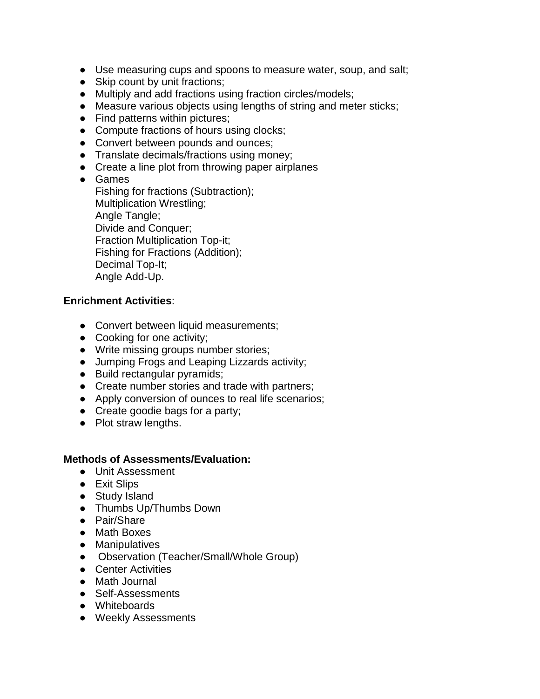- Use measuring cups and spoons to measure water, soup, and salt;
- Skip count by unit fractions;
- Multiply and add fractions using fraction circles/models;
- Measure various objects using lengths of string and meter sticks;
- Find patterns within pictures;
- Compute fractions of hours using clocks;
- Convert between pounds and ounces;
- Translate decimals/fractions using money;
- Create a line plot from throwing paper airplanes
- Games

Fishing for fractions (Subtraction); Multiplication Wrestling; Angle Tangle; Divide and Conquer; Fraction Multiplication Top-it; Fishing for Fractions (Addition); Decimal Top-It; Angle Add-Up.

### **Enrichment Activities**:

- Convert between liquid measurements;
- Cooking for one activity;
- Write missing groups number stories;
- Jumping Frogs and Leaping Lizzards activity;
- Build rectangular pyramids;
- Create number stories and trade with partners;
- Apply conversion of ounces to real life scenarios;
- Create goodie bags for a party;
- Plot straw lengths.

- Unit Assessment
- Exit Slips
- Study Island
- Thumbs Up/Thumbs Down
- Pair/Share
- Math Boxes
- Manipulatives
- Observation (Teacher/Small/Whole Group)
- Center Activities
- Math Journal
- Self-Assessments
- Whiteboards
- Weekly Assessments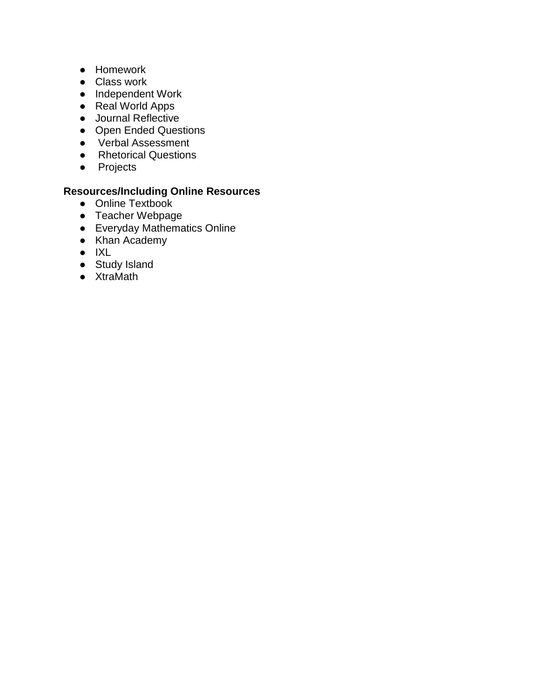- Homework
- Class work
- Independent Work
- Real World Apps
- Journal Reflective
- Open Ended Questions
- Verbal Assessment
- Rhetorical Questions
- Projects

- Online Textbook
- Teacher Webpage
- Everyday Mathematics Online
- Khan Academy
- IXL
- Study Island
- XtraMath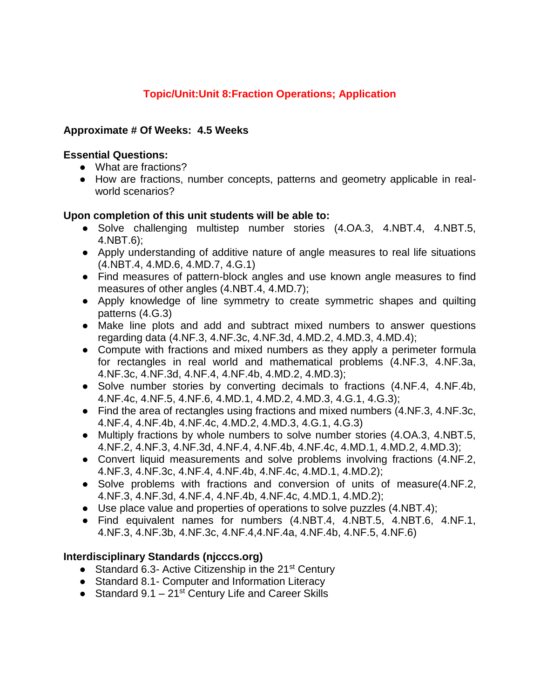# **Topic/Unit:Unit 8:Fraction Operations; Application**

### **Approximate # Of Weeks: 4.5 Weeks**

#### **Essential Questions:**

- What are fractions?
- How are fractions, number concepts, patterns and geometry applicable in realworld scenarios?

#### **Upon completion of this unit students will be able to:**

- Solve challenging multistep number stories (4.OA.3, 4.NBT.4, 4.NBT.5, 4.NBT.6);
- Apply understanding of additive nature of angle measures to real life situations (4.NBT.4, 4.MD.6, 4.MD.7, 4.G.1)
- Find measures of pattern-block angles and use known angle measures to find measures of other angles (4.NBT.4, 4.MD.7);
- Apply knowledge of line symmetry to create symmetric shapes and quilting patterns (4.G.3)
- Make line plots and add and subtract mixed numbers to answer questions regarding data (4.NF.3, 4.NF.3c, 4.NF.3d, 4.MD.2, 4.MD.3, 4.MD.4);
- Compute with fractions and mixed numbers as they apply a perimeter formula for rectangles in real world and mathematical problems (4.NF.3, 4.NF.3a, 4.NF.3c, 4.NF.3d, 4.NF.4, 4.NF.4b, 4.MD.2, 4.MD.3);
- Solve number stories by converting decimals to fractions (4.NF.4, 4.NF.4b, 4.NF.4c, 4.NF.5, 4.NF.6, 4.MD.1, 4.MD.2, 4.MD.3, 4.G.1, 4.G.3);
- Find the area of rectangles using fractions and mixed numbers (4.NF.3, 4.NF.3c, 4.NF.4, 4.NF.4b, 4.NF.4c, 4.MD.2, 4.MD.3, 4.G.1, 4.G.3)
- Multiply fractions by whole numbers to solve number stories (4.OA.3, 4.NBT.5, 4.NF.2, 4.NF.3, 4.NF.3d, 4.NF.4, 4.NF.4b, 4.NF.4c, 4.MD.1, 4.MD.2, 4.MD.3);
- Convert liquid measurements and solve problems involving fractions (4.NF.2, 4.NF.3, 4.NF.3c, 4.NF.4, 4.NF.4b, 4.NF.4c, 4.MD.1, 4.MD.2);
- Solve problems with fractions and conversion of units of measure(4.NF.2, 4.NF.3, 4.NF.3d, 4.NF.4, 4.NF.4b, 4.NF.4c, 4.MD.1, 4.MD.2);
- Use place value and properties of operations to solve puzzles (4.NBT.4);
- Find equivalent names for numbers (4.NBT.4, 4.NBT.5, 4.NBT.6, 4.NF.1, 4.NF.3, 4.NF.3b, 4.NF.3c, 4.NF.4,4.NF.4a, 4.NF.4b, 4.NF.5, 4.NF.6)

## **Interdisciplinary Standards (njcccs.org)**

- Standard 6.3- Active Citizenship in the 21<sup>st</sup> Century
- Standard 8.1 Computer and Information Literacy
- Standard  $9.1 21$ <sup>st</sup> Century Life and Career Skills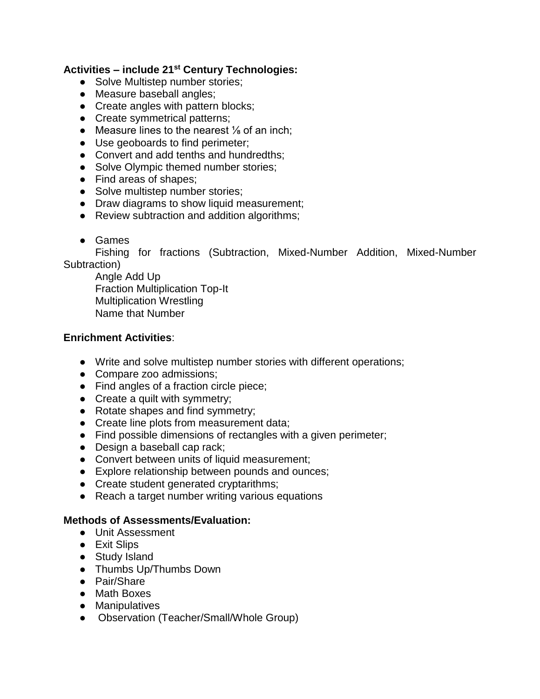# **Activities – include 21st Century Technologies:**

- Solve Multistep number stories;
- Measure baseball angles;
- Create angles with pattern blocks;
- Create symmetrical patterns;
- Measure lines to the nearest  $\frac{1}{8}$  of an inch;
- Use geoboards to find perimeter;
- Convert and add tenths and hundredths;
- Solve Olympic themed number stories;
- Find areas of shapes;
- Solve multistep number stories;
- Draw diagrams to show liquid measurement;
- Review subtraction and addition algorithms;
- Games

Fishing for fractions (Subtraction, Mixed-Number Addition, Mixed-Number Subtraction)

Angle Add Up Fraction Multiplication Top-It Multiplication Wrestling Name that Number

### **Enrichment Activities**:

- Write and solve multistep number stories with different operations;
- Compare zoo admissions;
- Find angles of a fraction circle piece;
- Create a quilt with symmetry;
- Rotate shapes and find symmetry;
- Create line plots from measurement data;
- Find possible dimensions of rectangles with a given perimeter;
- Design a baseball cap rack;
- Convert between units of liquid measurement;
- Explore relationship between pounds and ounces;
- Create student generated cryptarithms;
- Reach a target number writing various equations

- Unit Assessment
- Exit Slips
- Study Island
- Thumbs Up/Thumbs Down
- Pair/Share
- Math Boxes
- Manipulatives
- Observation (Teacher/Small/Whole Group)